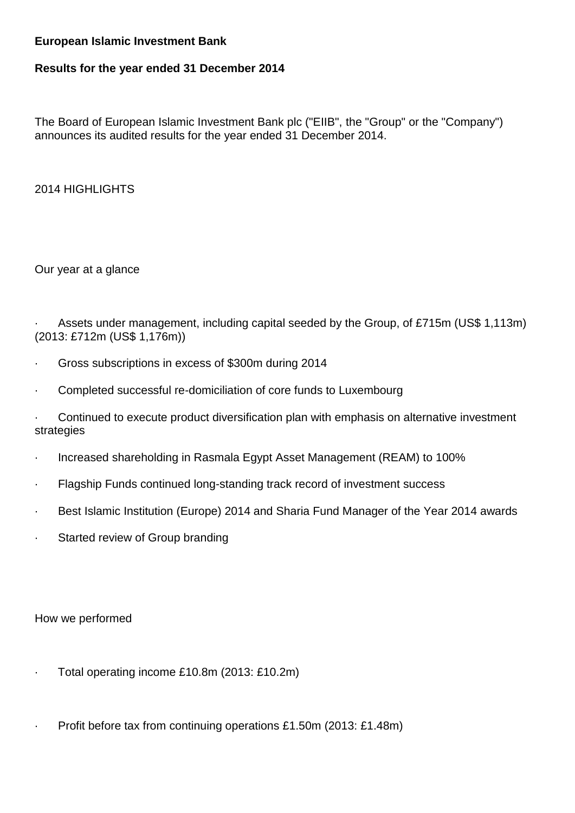### **European Islamic Investment Bank**

# **Results for the year ended 31 December 2014**

The Board of European Islamic Investment Bank plc ("EIIB", the "Group" or the "Company") announces its audited results for the year ended 31 December 2014.

2014 HIGHLIGHTS

Our year at a glance

Assets under management, including capital seeded by the Group, of £715m (US\$ 1,113m) (2013: £712m (US\$ 1,176m))

- · Gross subscriptions in excess of \$300m during 2014
- Completed successful re-domiciliation of core funds to Luxembourg

· Continued to execute product diversification plan with emphasis on alternative investment strategies

- · Increased shareholding in Rasmala Egypt Asset Management (REAM) to 100%
- · Flagship Funds continued long-standing track record of investment success
- · Best Islamic Institution (Europe) 2014 and Sharia Fund Manager of the Year 2014 awards
- · Started review of Group branding

How we performed

- · Total operating income £10.8m (2013: £10.2m)
- Profit before tax from continuing operations £1.50m (2013: £1.48m)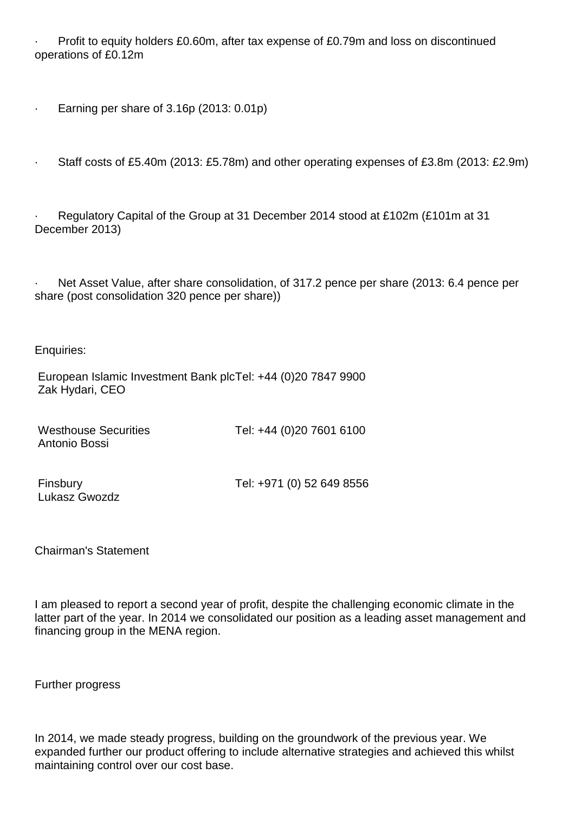Profit to equity holders £0.60m, after tax expense of £0.79m and loss on discontinued operations of £0.12m

· Earning per share of 3.16p (2013: 0.01p)

· Staff costs of £5.40m (2013: £5.78m) and other operating expenses of £3.8m (2013: £2.9m)

· Regulatory Capital of the Group at 31 December 2014 stood at £102m (£101m at 31 December 2013)

Net Asset Value, after share consolidation, of 317.2 pence per share (2013: 6.4 pence per share (post consolidation 320 pence per share))

Enquiries:

European Islamic Investment Bank plcTel: +44 (0)20 7847 9900 Zak Hydari, CEO

| <b>Westhouse Securities</b> | Tel: +44 (0)20 7601 6100 |
|-----------------------------|--------------------------|
| Antonio Bossi               |                          |

Lukasz Gwozdz

Finsbury Tel: +971 (0) 52 649 8556

Chairman's Statement

I am pleased to report a second year of profit, despite the challenging economic climate in the latter part of the year. In 2014 we consolidated our position as a leading asset management and financing group in the MENA region.

Further progress

In 2014, we made steady progress, building on the groundwork of the previous year. We expanded further our product offering to include alternative strategies and achieved this whilst maintaining control over our cost base.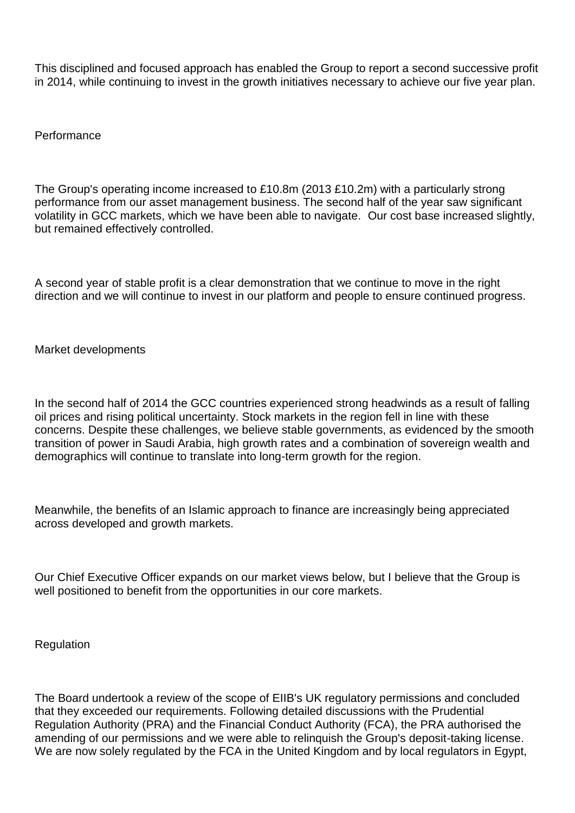This disciplined and focused approach has enabled the Group to report a second successive profit in 2014, while continuing to invest in the growth initiatives necessary to achieve our five year plan.

Performance

The Group's operating income increased to £10.8m (2013 £10.2m) with a particularly strong performance from our asset management business. The second half of the year saw significant volatility in GCC markets, which we have been able to navigate. Our cost base increased slightly, but remained effectively controlled.

A second year of stable profit is a clear demonstration that we continue to move in the right direction and we will continue to invest in our platform and people to ensure continued progress.

Market developments

In the second half of 2014 the GCC countries experienced strong headwinds as a result of falling oil prices and rising political uncertainty. Stock markets in the region fell in line with these concerns. Despite these challenges, we believe stable governments, as evidenced by the smooth transition of power in Saudi Arabia, high growth rates and a combination of sovereign wealth and demographics will continue to translate into long-term growth for the region.

Meanwhile, the benefits of an Islamic approach to finance are increasingly being appreciated across developed and growth markets.

Our Chief Executive Officer expands on our market views below, but I believe that the Group is well positioned to benefit from the opportunities in our core markets.

Regulation

The Board undertook a review of the scope of EIIB's UK regulatory permissions and concluded that they exceeded our requirements. Following detailed discussions with the Prudential Regulation Authority (PRA) and the Financial Conduct Authority (FCA), the PRA authorised the amending of our permissions and we were able to relinquish the Group's deposit-taking license. We are now solely regulated by the FCA in the United Kingdom and by local regulators in Egypt,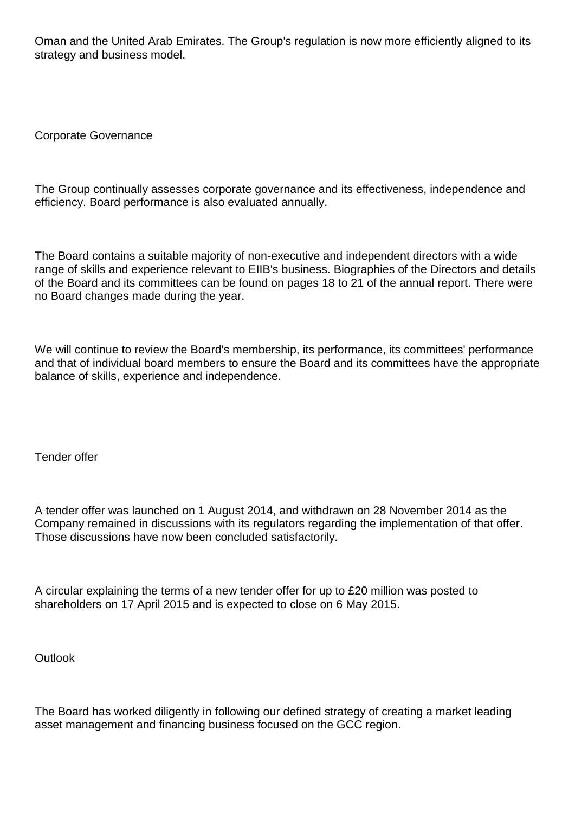Oman and the United Arab Emirates. The Group's regulation is now more efficiently aligned to its strategy and business model.

Corporate Governance

The Group continually assesses corporate governance and its effectiveness, independence and efficiency. Board performance is also evaluated annually.

The Board contains a suitable majority of non-executive and independent directors with a wide range of skills and experience relevant to EIIB's business. Biographies of the Directors and details of the Board and its committees can be found on pages 18 to 21 of the annual report. There were no Board changes made during the year.

We will continue to review the Board's membership, its performance, its committees' performance and that of individual board members to ensure the Board and its committees have the appropriate balance of skills, experience and independence.

Tender offer

A tender offer was launched on 1 August 2014, and withdrawn on 28 November 2014 as the Company remained in discussions with its regulators regarding the implementation of that offer. Those discussions have now been concluded satisfactorily.

A circular explaining the terms of a new tender offer for up to £20 million was posted to shareholders on 17 April 2015 and is expected to close on 6 May 2015.

**Outlook** 

The Board has worked diligently in following our defined strategy of creating a market leading asset management and financing business focused on the GCC region.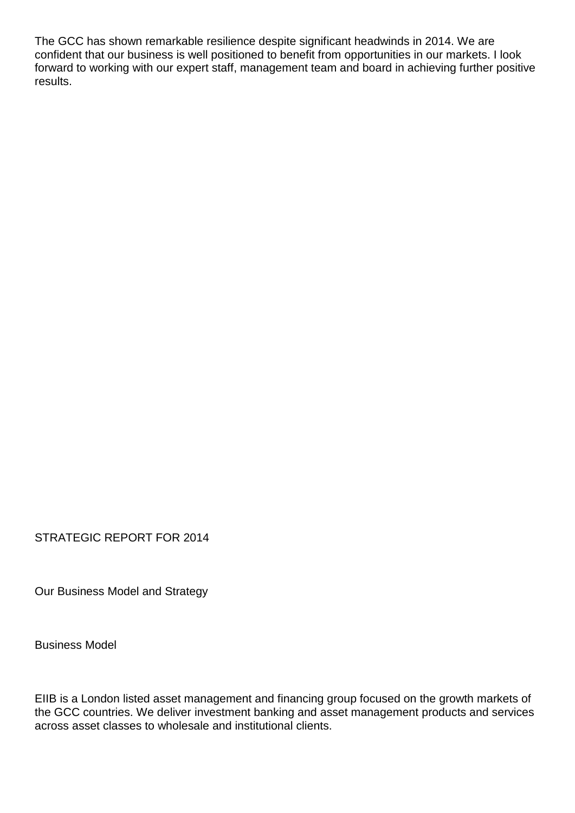The GCC has shown remarkable resilience despite significant headwinds in 2014. We are confident that our business is well positioned to benefit from opportunities in our markets. I look forward to working with our expert staff, management team and board in achieving further positive results.

STRATEGIC REPORT FOR 2014

Our Business Model and Strategy

Business Model

EIIB is a London listed asset management and financing group focused on the growth markets of the GCC countries. We deliver investment banking and asset management products and services across asset classes to wholesale and institutional clients.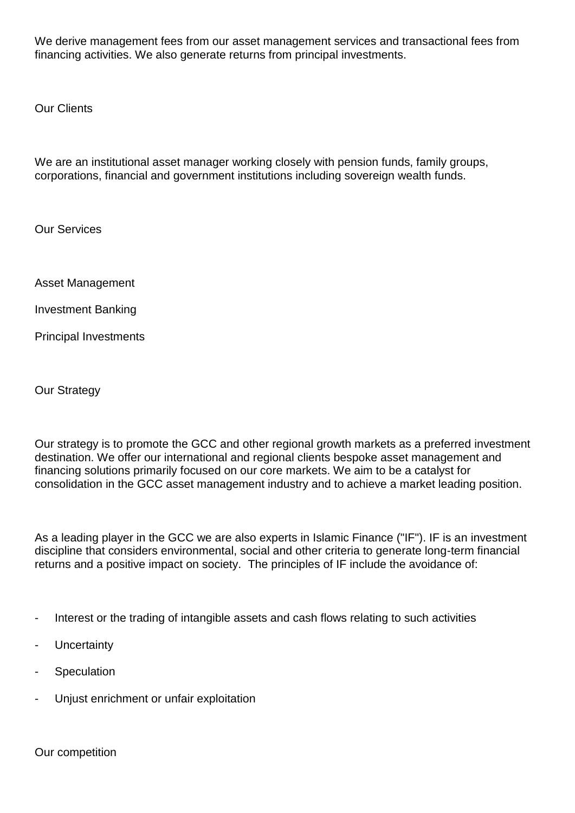We derive management fees from our asset management services and transactional fees from financing activities. We also generate returns from principal investments.

Our Clients

We are an institutional asset manager working closely with pension funds, family groups, corporations, financial and government institutions including sovereign wealth funds.

Our Services

Asset Management

Investment Banking

Principal Investments

Our Strategy

Our strategy is to promote the GCC and other regional growth markets as a preferred investment destination. We offer our international and regional clients bespoke asset management and financing solutions primarily focused on our core markets. We aim to be a catalyst for consolidation in the GCC asset management industry and to achieve a market leading position.

As a leading player in the GCC we are also experts in Islamic Finance ("IF"). IF is an investment discipline that considers environmental, social and other criteria to generate long-term financial returns and a positive impact on society. The principles of IF include the avoidance of:

- Interest or the trading of intangible assets and cash flows relating to such activities
- **Uncertainty**
- **Speculation**
- Unjust enrichment or unfair exploitation

Our competition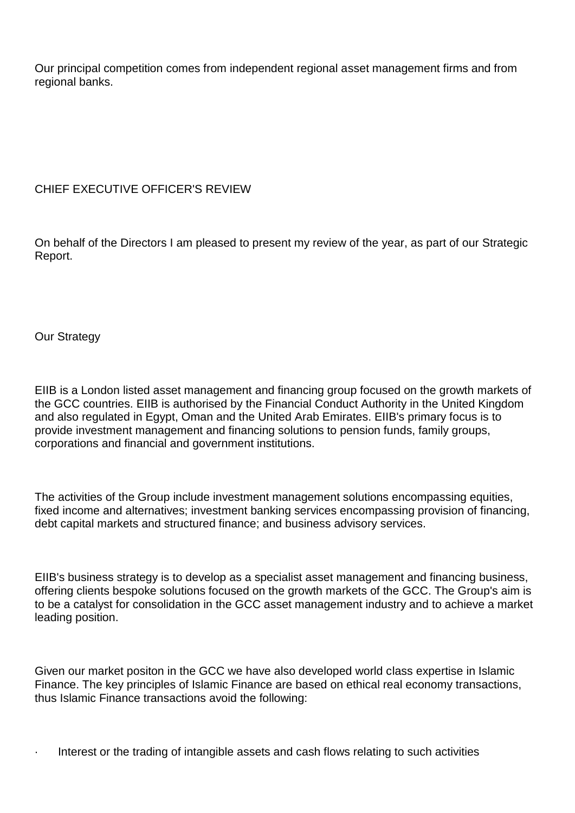Our principal competition comes from independent regional asset management firms and from regional banks.

## CHIEF EXECUTIVE OFFICER'S REVIEW

On behalf of the Directors I am pleased to present my review of the year, as part of our Strategic Report.

Our Strategy

EIIB is a London listed asset management and financing group focused on the growth markets of the GCC countries. EIIB is authorised by the Financial Conduct Authority in the United Kingdom and also regulated in Egypt, Oman and the United Arab Emirates. EIIB's primary focus is to provide investment management and financing solutions to pension funds, family groups, corporations and financial and government institutions.

The activities of the Group include investment management solutions encompassing equities, fixed income and alternatives; investment banking services encompassing provision of financing, debt capital markets and structured finance; and business advisory services.

EIIB's business strategy is to develop as a specialist asset management and financing business, offering clients bespoke solutions focused on the growth markets of the GCC. The Group's aim is to be a catalyst for consolidation in the GCC asset management industry and to achieve a market leading position.

Given our market positon in the GCC we have also developed world class expertise in Islamic Finance. The key principles of Islamic Finance are based on ethical real economy transactions, thus Islamic Finance transactions avoid the following:

· Interest or the trading of intangible assets and cash flows relating to such activities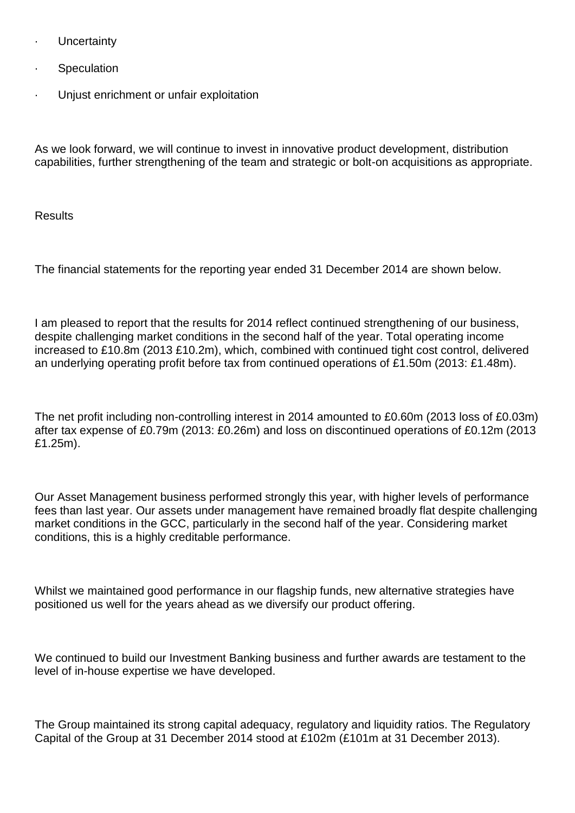- **Uncertainty**
- **Speculation**
- Unjust enrichment or unfair exploitation

As we look forward, we will continue to invest in innovative product development, distribution capabilities, further strengthening of the team and strategic or bolt-on acquisitions as appropriate.

**Results** 

The financial statements for the reporting year ended 31 December 2014 are shown below.

I am pleased to report that the results for 2014 reflect continued strengthening of our business, despite challenging market conditions in the second half of the year. Total operating income increased to £10.8m (2013 £10.2m), which, combined with continued tight cost control, delivered an underlying operating profit before tax from continued operations of £1.50m (2013: £1.48m).

The net profit including non-controlling interest in 2014 amounted to £0.60m (2013 loss of £0.03m) after tax expense of £0.79m (2013: £0.26m) and loss on discontinued operations of £0.12m (2013 £1.25m).

Our Asset Management business performed strongly this year, with higher levels of performance fees than last year. Our assets under management have remained broadly flat despite challenging market conditions in the GCC, particularly in the second half of the year. Considering market conditions, this is a highly creditable performance.

Whilst we maintained good performance in our flagship funds, new alternative strategies have positioned us well for the years ahead as we diversify our product offering.

We continued to build our Investment Banking business and further awards are testament to the level of in-house expertise we have developed.

The Group maintained its strong capital adequacy, regulatory and liquidity ratios. The Regulatory Capital of the Group at 31 December 2014 stood at £102m (£101m at 31 December 2013).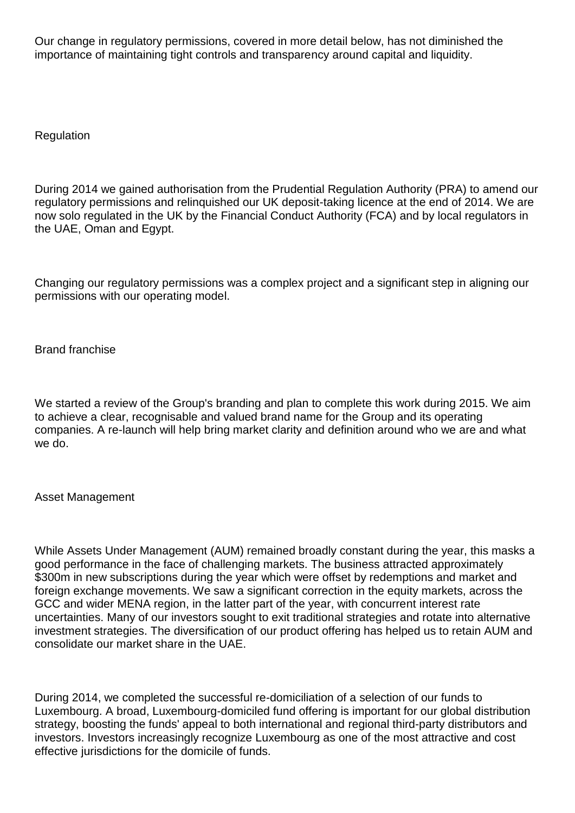Our change in regulatory permissions, covered in more detail below, has not diminished the importance of maintaining tight controls and transparency around capital and liquidity.

**Regulation** 

During 2014 we gained authorisation from the Prudential Regulation Authority (PRA) to amend our regulatory permissions and relinquished our UK deposit-taking licence at the end of 2014. We are now solo regulated in the UK by the Financial Conduct Authority (FCA) and by local regulators in the UAE, Oman and Egypt.

Changing our regulatory permissions was a complex project and a significant step in aligning our permissions with our operating model.

Brand franchise

We started a review of the Group's branding and plan to complete this work during 2015. We aim to achieve a clear, recognisable and valued brand name for the Group and its operating companies. A re-launch will help bring market clarity and definition around who we are and what we do.

Asset Management

While Assets Under Management (AUM) remained broadly constant during the year, this masks a good performance in the face of challenging markets. The business attracted approximately \$300m in new subscriptions during the year which were offset by redemptions and market and foreign exchange movements. We saw a significant correction in the equity markets, across the GCC and wider MENA region, in the latter part of the year, with concurrent interest rate uncertainties. Many of our investors sought to exit traditional strategies and rotate into alternative investment strategies. The diversification of our product offering has helped us to retain AUM and consolidate our market share in the UAE.

During 2014, we completed the successful re-domiciliation of a selection of our funds to Luxembourg. A broad, Luxembourg-domiciled fund offering is important for our global distribution strategy, boosting the funds' appeal to both international and regional third-party distributors and investors. Investors increasingly recognize Luxembourg as one of the most attractive and cost effective jurisdictions for the domicile of funds.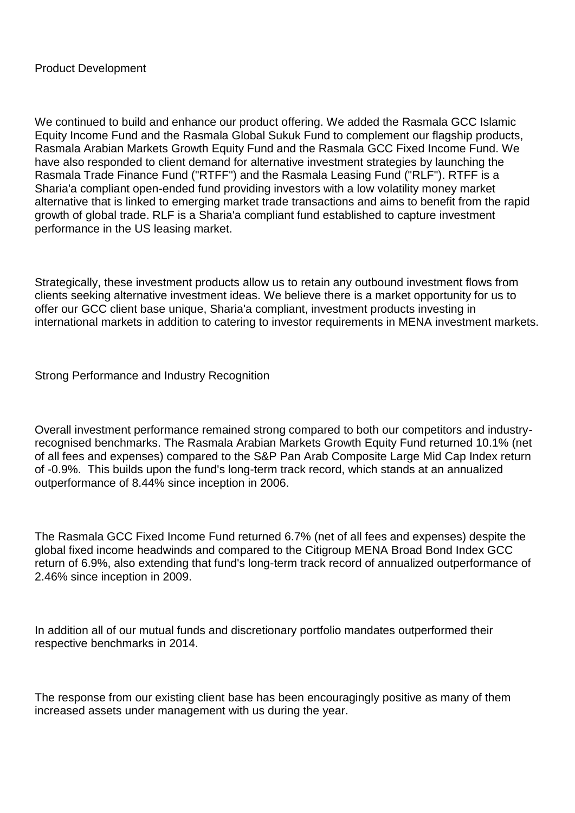We continued to build and enhance our product offering. We added the Rasmala GCC Islamic Equity Income Fund and the Rasmala Global Sukuk Fund to complement our flagship products, Rasmala Arabian Markets Growth Equity Fund and the Rasmala GCC Fixed Income Fund. We have also responded to client demand for alternative investment strategies by launching the Rasmala Trade Finance Fund ("RTFF") and the Rasmala Leasing Fund ("RLF"). RTFF is a Sharia'a compliant open-ended fund providing investors with a low volatility money market alternative that is linked to emerging market trade transactions and aims to benefit from the rapid growth of global trade. RLF is a Sharia'a compliant fund established to capture investment performance in the US leasing market.

Strategically, these investment products allow us to retain any outbound investment flows from clients seeking alternative investment ideas. We believe there is a market opportunity for us to offer our GCC client base unique, Sharia'a compliant, investment products investing in international markets in addition to catering to investor requirements in MENA investment markets.

Strong Performance and Industry Recognition

Overall investment performance remained strong compared to both our competitors and industryrecognised benchmarks. The Rasmala Arabian Markets Growth Equity Fund returned 10.1% (net of all fees and expenses) compared to the S&P Pan Arab Composite Large Mid Cap Index return of -0.9%. This builds upon the fund's long-term track record, which stands at an annualized outperformance of 8.44% since inception in 2006.

The Rasmala GCC Fixed Income Fund returned 6.7% (net of all fees and expenses) despite the global fixed income headwinds and compared to the Citigroup MENA Broad Bond Index GCC return of 6.9%, also extending that fund's long-term track record of annualized outperformance of 2.46% since inception in 2009.

In addition all of our mutual funds and discretionary portfolio mandates outperformed their respective benchmarks in 2014.

The response from our existing client base has been encouragingly positive as many of them increased assets under management with us during the year.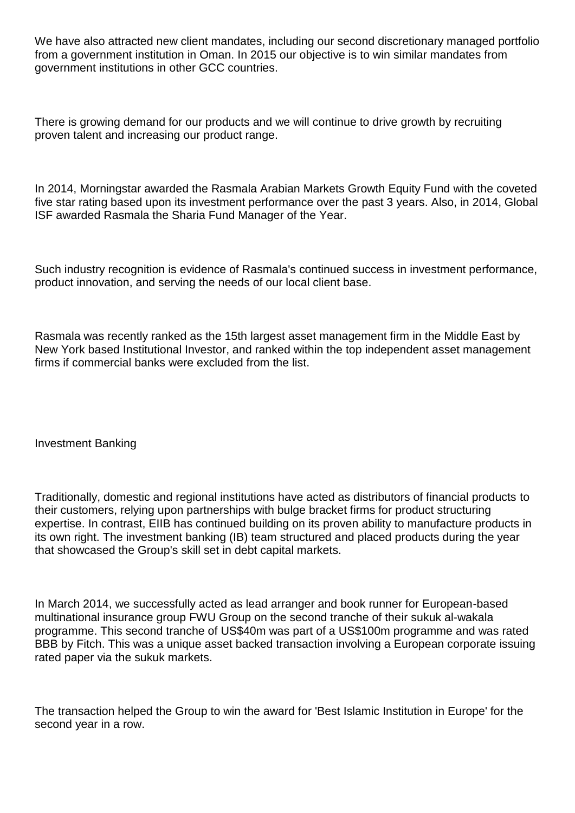We have also attracted new client mandates, including our second discretionary managed portfolio from a government institution in Oman. In 2015 our objective is to win similar mandates from government institutions in other GCC countries.

There is growing demand for our products and we will continue to drive growth by recruiting proven talent and increasing our product range.

In 2014, Morningstar awarded the Rasmala Arabian Markets Growth Equity Fund with the coveted five star rating based upon its investment performance over the past 3 years. Also, in 2014, Global ISF awarded Rasmala the Sharia Fund Manager of the Year.

Such industry recognition is evidence of Rasmala's continued success in investment performance, product innovation, and serving the needs of our local client base.

Rasmala was recently ranked as the 15th largest asset management firm in the Middle East by New York based Institutional Investor, and ranked within the top independent asset management firms if commercial banks were excluded from the list.

Investment Banking

Traditionally, domestic and regional institutions have acted as distributors of financial products to their customers, relying upon partnerships with bulge bracket firms for product structuring expertise. In contrast, EIIB has continued building on its proven ability to manufacture products in its own right. The investment banking (IB) team structured and placed products during the year that showcased the Group's skill set in debt capital markets.

In March 2014, we successfully acted as lead arranger and book runner for European-based multinational insurance group FWU Group on the second tranche of their sukuk al-wakala programme. This second tranche of US\$40m was part of a US\$100m programme and was rated BBB by Fitch. This was a unique asset backed transaction involving a European corporate issuing rated paper via the sukuk markets.

The transaction helped the Group to win the award for 'Best Islamic Institution in Europe' for the second year in a row.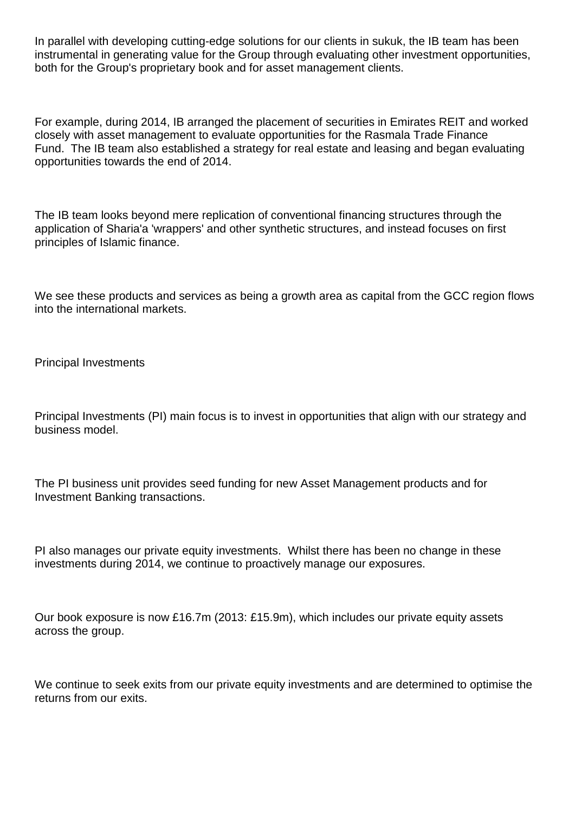In parallel with developing cutting-edge solutions for our clients in sukuk, the IB team has been instrumental in generating value for the Group through evaluating other investment opportunities, both for the Group's proprietary book and for asset management clients.

For example, during 2014, IB arranged the placement of securities in Emirates REIT and worked closely with asset management to evaluate opportunities for the Rasmala Trade Finance Fund. The IB team also established a strategy for real estate and leasing and began evaluating opportunities towards the end of 2014.

The IB team looks beyond mere replication of conventional financing structures through the application of Sharia'a 'wrappers' and other synthetic structures, and instead focuses on first principles of Islamic finance.

We see these products and services as being a growth area as capital from the GCC region flows into the international markets.

Principal Investments

Principal Investments (PI) main focus is to invest in opportunities that align with our strategy and business model.

The PI business unit provides seed funding for new Asset Management products and for Investment Banking transactions.

PI also manages our private equity investments. Whilst there has been no change in these investments during 2014, we continue to proactively manage our exposures.

Our book exposure is now £16.7m (2013: £15.9m), which includes our private equity assets across the group.

We continue to seek exits from our private equity investments and are determined to optimise the returns from our exits.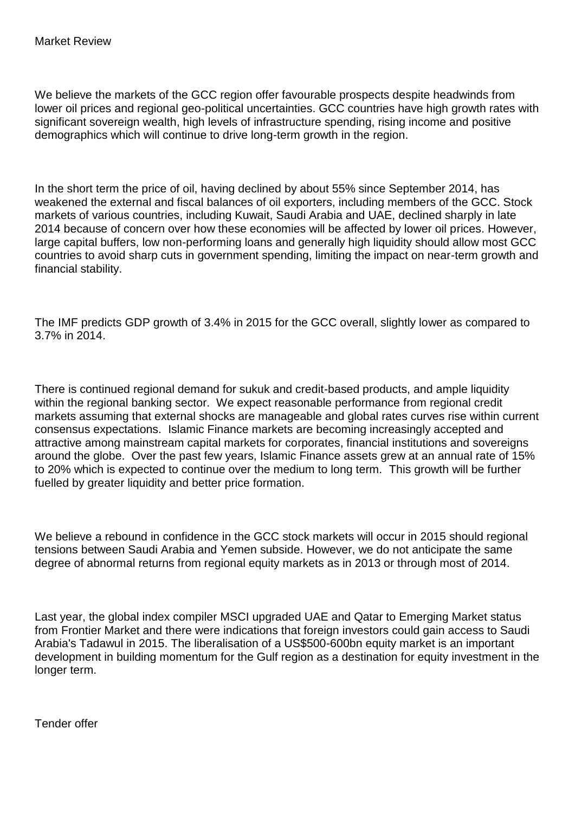We believe the markets of the GCC region offer favourable prospects despite headwinds from lower oil prices and regional geo-political uncertainties. GCC countries have high growth rates with significant sovereign wealth, high levels of infrastructure spending, rising income and positive demographics which will continue to drive long-term growth in the region.

In the short term the price of oil, having declined by about 55% since September 2014, has weakened the external and fiscal balances of oil exporters, including members of the GCC. Stock markets of various countries, including Kuwait, Saudi Arabia and UAE, declined sharply in late 2014 because of concern over how these economies will be affected by lower oil prices. However, large capital buffers, low non-performing loans and generally high liquidity should allow most GCC countries to avoid sharp cuts in government spending, limiting the impact on near-term growth and financial stability.

The IMF predicts GDP growth of 3.4% in 2015 for the GCC overall, slightly lower as compared to 3.7% in 2014.

There is continued regional demand for sukuk and credit-based products, and ample liquidity within the regional banking sector. We expect reasonable performance from regional credit markets assuming that external shocks are manageable and global rates curves rise within current consensus expectations. Islamic Finance markets are becoming increasingly accepted and attractive among mainstream capital markets for corporates, financial institutions and sovereigns around the globe. Over the past few years, Islamic Finance assets grew at an annual rate of 15% to 20% which is expected to continue over the medium to long term. This growth will be further fuelled by greater liquidity and better price formation.

We believe a rebound in confidence in the GCC stock markets will occur in 2015 should regional tensions between Saudi Arabia and Yemen subside. However, we do not anticipate the same degree of abnormal returns from regional equity markets as in 2013 or through most of 2014.

Last year, the global index compiler MSCI upgraded UAE and Qatar to Emerging Market status from Frontier Market and there were indications that foreign investors could gain access to Saudi Arabia's Tadawul in 2015. The liberalisation of a US\$500-600bn equity market is an important development in building momentum for the Gulf region as a destination for equity investment in the longer term.

Tender offer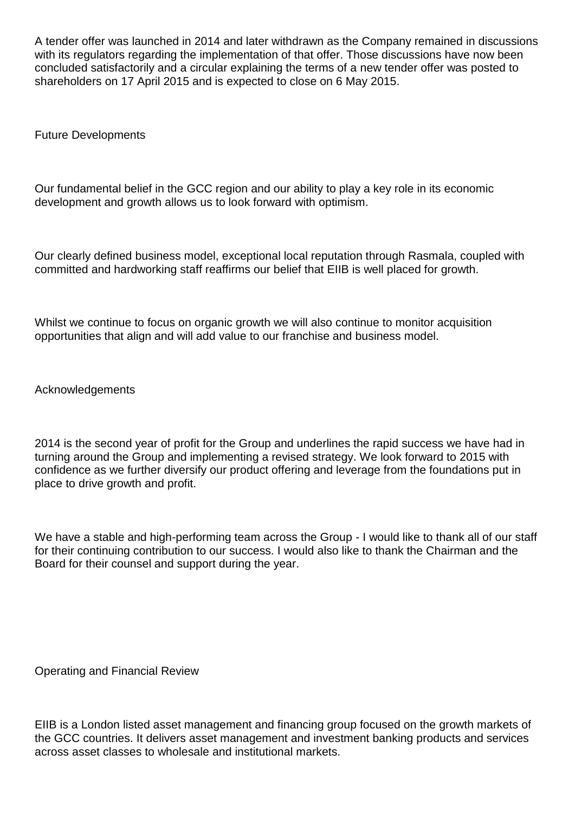A tender offer was launched in 2014 and later withdrawn as the Company remained in discussions with its regulators regarding the implementation of that offer. Those discussions have now been concluded satisfactorily and a circular explaining the terms of a new tender offer was posted to shareholders on 17 April 2015 and is expected to close on 6 May 2015.

Future Developments

Our fundamental belief in the GCC region and our ability to play a key role in its economic development and growth allows us to look forward with optimism.

Our clearly defined business model, exceptional local reputation through Rasmala, coupled with committed and hardworking staff reaffirms our belief that EIIB is well placed for growth.

Whilst we continue to focus on organic growth we will also continue to monitor acquisition opportunities that align and will add value to our franchise and business model.

Acknowledgements

2014 is the second year of profit for the Group and underlines the rapid success we have had in turning around the Group and implementing a revised strategy. We look forward to 2015 with confidence as we further diversify our product offering and leverage from the foundations put in place to drive growth and profit.

We have a stable and high-performing team across the Group - I would like to thank all of our staff for their continuing contribution to our success. I would also like to thank the Chairman and the Board for their counsel and support during the year.

Operating and Financial Review

EIIB is a London listed asset management and financing group focused on the growth markets of the GCC countries. It delivers asset management and investment banking products and services across asset classes to wholesale and institutional markets.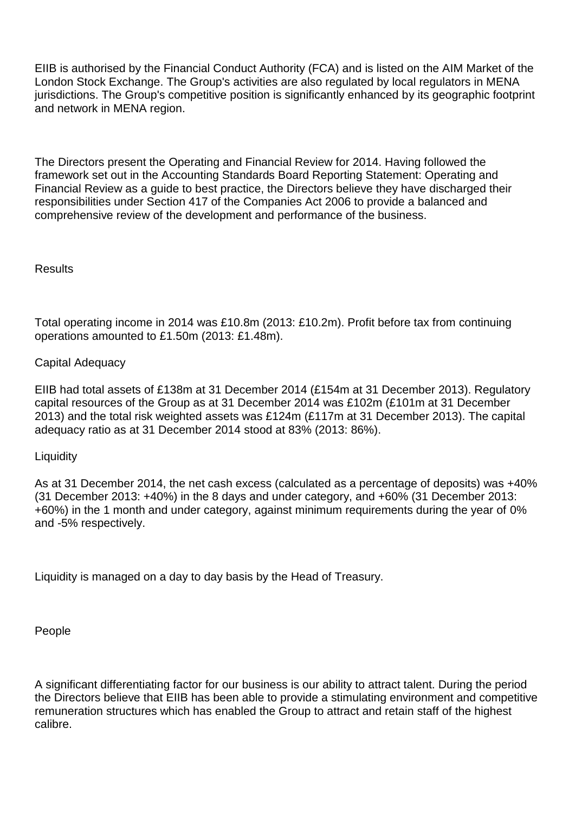EIIB is authorised by the Financial Conduct Authority (FCA) and is listed on the AIM Market of the London Stock Exchange. The Group's activities are also regulated by local regulators in MENA jurisdictions. The Group's competitive position is significantly enhanced by its geographic footprint and network in MENA region.

The Directors present the Operating and Financial Review for 2014. Having followed the framework set out in the Accounting Standards Board Reporting Statement: Operating and Financial Review as a guide to best practice, the Directors believe they have discharged their responsibilities under Section 417 of the Companies Act 2006 to provide a balanced and comprehensive review of the development and performance of the business.

### **Results**

Total operating income in 2014 was £10.8m (2013: £10.2m). Profit before tax from continuing operations amounted to £1.50m (2013: £1.48m).

### Capital Adequacy

EIIB had total assets of £138m at 31 December 2014 (£154m at 31 December 2013). Regulatory capital resources of the Group as at 31 December 2014 was £102m (£101m at 31 December 2013) and the total risk weighted assets was £124m (£117m at 31 December 2013). The capital adequacy ratio as at 31 December 2014 stood at 83% (2013: 86%).

### **Liquidity**

As at 31 December 2014, the net cash excess (calculated as a percentage of deposits) was +40% (31 December 2013: +40%) in the 8 days and under category, and +60% (31 December 2013: +60%) in the 1 month and under category, against minimum requirements during the year of 0% and -5% respectively.

Liquidity is managed on a day to day basis by the Head of Treasury.

People

A significant differentiating factor for our business is our ability to attract talent. During the period the Directors believe that EIIB has been able to provide a stimulating environment and competitive remuneration structures which has enabled the Group to attract and retain staff of the highest calibre.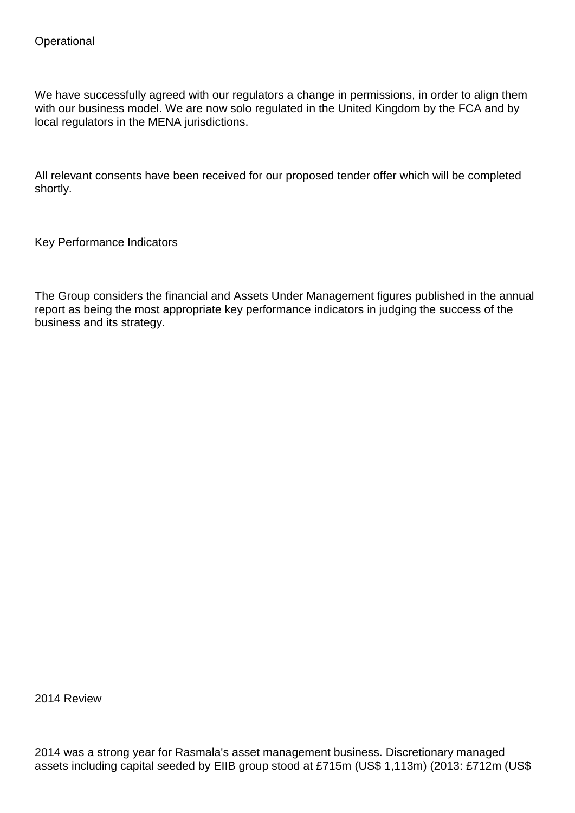We have successfully agreed with our regulators a change in permissions, in order to align them with our business model. We are now solo regulated in the United Kingdom by the FCA and by local regulators in the MENA jurisdictions.

All relevant consents have been received for our proposed tender offer which will be completed shortly.

Key Performance Indicators

The Group considers the financial and Assets Under Management figures published in the annual report as being the most appropriate key performance indicators in judging the success of the business and its strategy.

2014 Review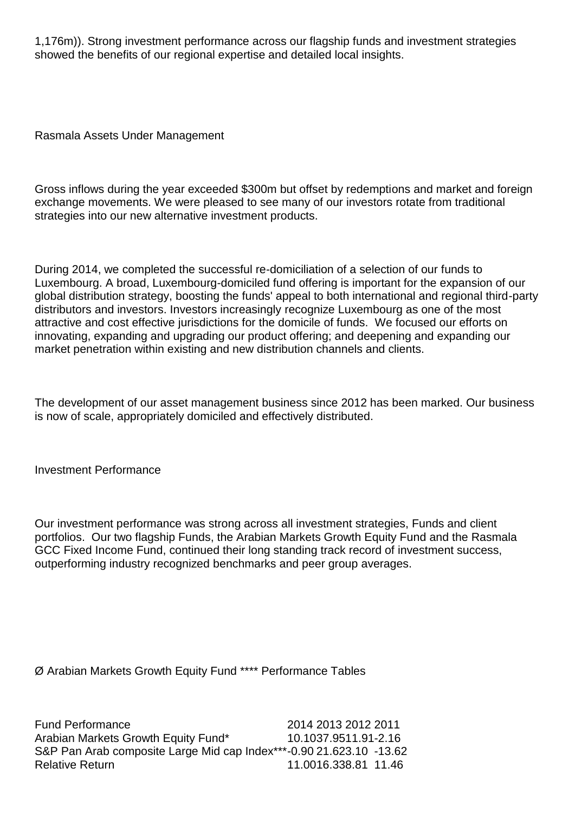1,176m)). Strong investment performance across our flagship funds and investment strategies showed the benefits of our regional expertise and detailed local insights.

Rasmala Assets Under Management

Gross inflows during the year exceeded \$300m but offset by redemptions and market and foreign exchange movements. We were pleased to see many of our investors rotate from traditional strategies into our new alternative investment products.

During 2014, we completed the successful re-domiciliation of a selection of our funds to Luxembourg. A broad, Luxembourg-domiciled fund offering is important for the expansion of our global distribution strategy, boosting the funds' appeal to both international and regional third-party distributors and investors. Investors increasingly recognize Luxembourg as one of the most attractive and cost effective jurisdictions for the domicile of funds. We focused our efforts on innovating, expanding and upgrading our product offering; and deepening and expanding our market penetration within existing and new distribution channels and clients.

The development of our asset management business since 2012 has been marked. Our business is now of scale, appropriately domiciled and effectively distributed.

Investment Performance

Our investment performance was strong across all investment strategies, Funds and client portfolios. Our two flagship Funds, the Arabian Markets Growth Equity Fund and the Rasmala GCC Fixed Income Fund, continued their long standing track record of investment success, outperforming industry recognized benchmarks and peer group averages.

Ø Arabian Markets Growth Equity Fund \*\*\*\* Performance Tables

Fund Performance 2014 2013 2012 2011 Arabian Markets Growth Equity Fund\* 10.1037.9511.91-2.16 S&P Pan Arab composite Large Mid cap Index\*\*\*-0.90 21.623.10 -13.62 Relative Return 11.0016.338.81 11.46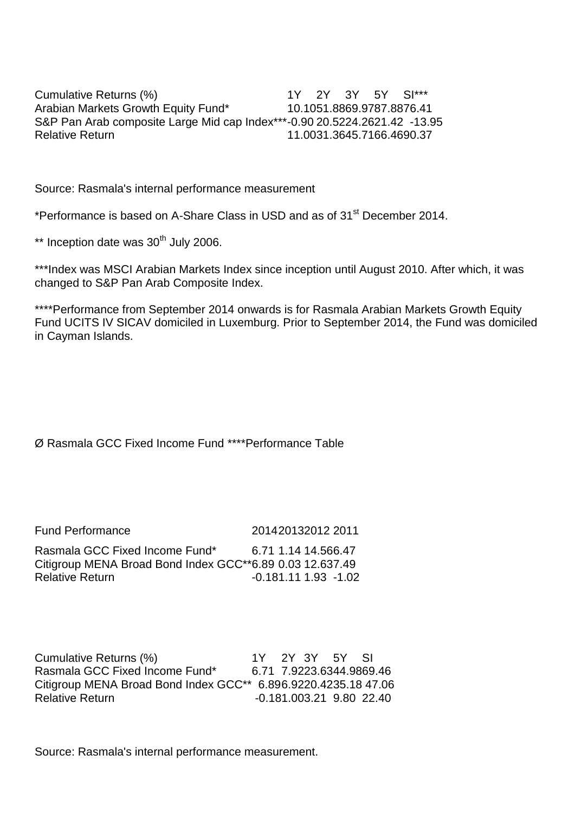Cumulative Returns (%) 1Y 2Y 3Y 5Y SI\*\*\* Arabian Markets Growth Equity Fund\* 10.1051.8869.9787.8876.41 S&P Pan Arab composite Large Mid cap Index\*\*\*-0.90 20.5224.2621.42 -13.95 Relative Return 11.0031.3645.7166.4690.37

Source: Rasmala's internal performance measurement

\*Performance is based on A-Share Class in USD and as of 31<sup>st</sup> December 2014.

 $**$  Inception date was 30<sup>th</sup> July 2006.

\*\*\*Index was MSCI Arabian Markets Index since inception until August 2010. After which, it was changed to S&P Pan Arab Composite Index.

\*\*\*\*Performance from September 2014 onwards is for Rasmala Arabian Markets Growth Equity Fund UCITS IV SICAV domiciled in Luxemburg. Prior to September 2014, the Fund was domiciled in Cayman Islands.

### Ø Rasmala GCC Fixed Income Fund \*\*\*\*Performance Table

| <b>Fund Performance</b>                                  | 201420132012 2011        |
|----------------------------------------------------------|--------------------------|
| Rasmala GCC Fixed Income Fund*                           | 6.71 1.14 14.566.47      |
| Citigroup MENA Broad Bond Index GCC**6.89 0.03 12.637.49 |                          |
| <b>Relative Return</b>                                   | $-0.181.11$ 1.93 $-1.02$ |

Cumulative Returns (%) 1Y 2Y 3Y 5Y SI Rasmala GCC Fixed Income Fund\* 6.71 7.9223.6344.9869.46 Citigroup MENA Broad Bond Index GCC\*\* 6.896.9220.4235.18 47.06 Relative Return -0.181.003.21 9.80 22.40

Source: Rasmala's internal performance measurement.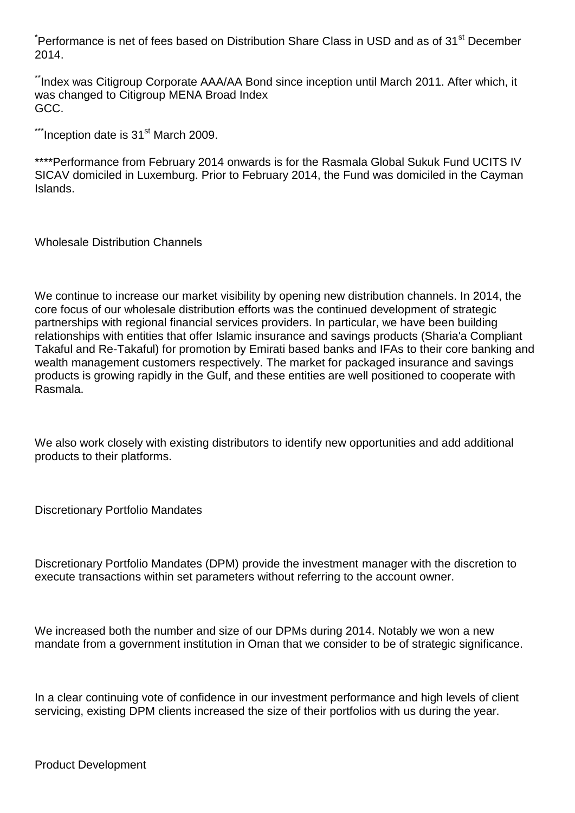\*Performance is net of fees based on Distribution Share Class in USD and as of 31<sup>st</sup> December 2014.

\*\*Index was Citigroup Corporate AAA/AA Bond since inception until March 2011. After which, it was changed to Citigroup MENA Broad Index GCC.

 $**$ Inception date is 31 $st$  March 2009.

\*\*\*\*Performance from February 2014 onwards is for the Rasmala Global Sukuk Fund UCITS IV SICAV domiciled in Luxemburg. Prior to February 2014, the Fund was domiciled in the Cayman Islands.

Wholesale Distribution Channels

We continue to increase our market visibility by opening new distribution channels. In 2014, the core focus of our wholesale distribution efforts was the continued development of strategic partnerships with regional financial services providers. In particular, we have been building relationships with entities that offer Islamic insurance and savings products (Sharia'a Compliant Takaful and Re-Takaful) for promotion by Emirati based banks and IFAs to their core banking and wealth management customers respectively. The market for packaged insurance and savings products is growing rapidly in the Gulf, and these entities are well positioned to cooperate with Rasmala.

We also work closely with existing distributors to identify new opportunities and add additional products to their platforms.

Discretionary Portfolio Mandates

Discretionary Portfolio Mandates (DPM) provide the investment manager with the discretion to execute transactions within set parameters without referring to the account owner.

We increased both the number and size of our DPMs during 2014. Notably we won a new mandate from a government institution in Oman that we consider to be of strategic significance.

In a clear continuing vote of confidence in our investment performance and high levels of client servicing, existing DPM clients increased the size of their portfolios with us during the year.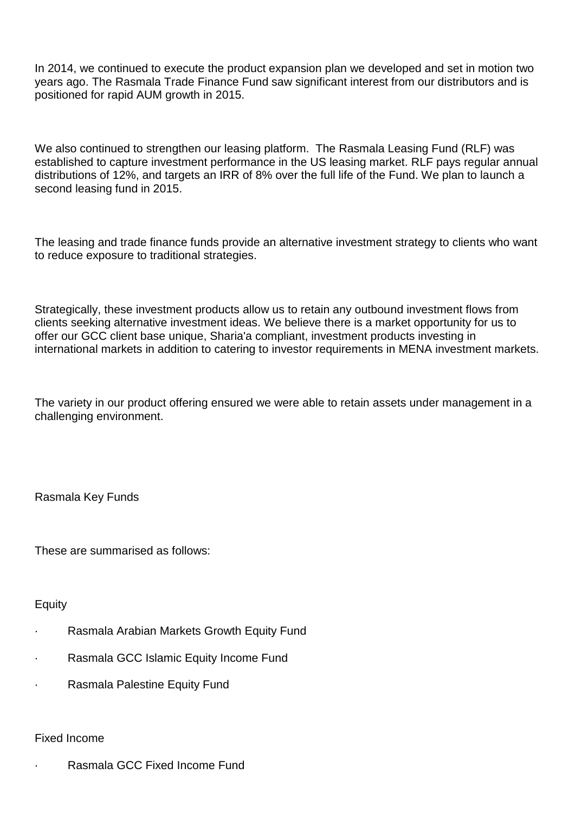In 2014, we continued to execute the product expansion plan we developed and set in motion two years ago. The Rasmala Trade Finance Fund saw significant interest from our distributors and is positioned for rapid AUM growth in 2015.

We also continued to strengthen our leasing platform. The Rasmala Leasing Fund (RLF) was established to capture investment performance in the US leasing market. RLF pays regular annual distributions of 12%, and targets an IRR of 8% over the full life of the Fund. We plan to launch a second leasing fund in 2015.

The leasing and trade finance funds provide an alternative investment strategy to clients who want to reduce exposure to traditional strategies.

Strategically, these investment products allow us to retain any outbound investment flows from clients seeking alternative investment ideas. We believe there is a market opportunity for us to offer our GCC client base unique, Sharia'a compliant, investment products investing in international markets in addition to catering to investor requirements in MENA investment markets.

The variety in our product offering ensured we were able to retain assets under management in a challenging environment.

Rasmala Key Funds

These are summarised as follows:

Equity

- · Rasmala Arabian Markets Growth Equity Fund
- · Rasmala GCC Islamic Equity Income Fund
- · Rasmala Palestine Equity Fund

#### Fixed Income

Rasmala GCC Fixed Income Fund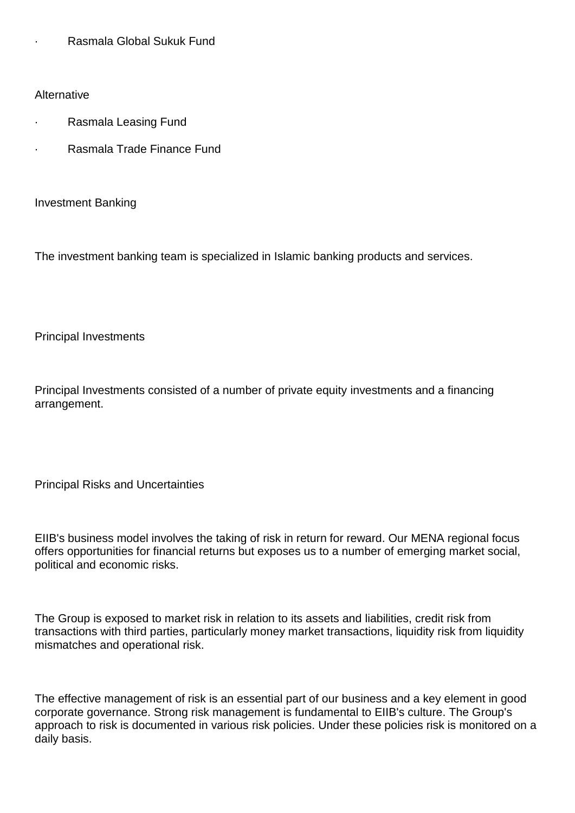· Rasmala Global Sukuk Fund

**Alternative** 

- · Rasmala Leasing Fund
- Rasmala Trade Finance Fund

Investment Banking

The investment banking team is specialized in Islamic banking products and services.

Principal Investments

Principal Investments consisted of a number of private equity investments and a financing arrangement.

Principal Risks and Uncertainties

EIIB's business model involves the taking of risk in return for reward. Our MENA regional focus offers opportunities for financial returns but exposes us to a number of emerging market social, political and economic risks.

The Group is exposed to market risk in relation to its assets and liabilities, credit risk from transactions with third parties, particularly money market transactions, liquidity risk from liquidity mismatches and operational risk.

The effective management of risk is an essential part of our business and a key element in good corporate governance. Strong risk management is fundamental to EIIB's culture. The Group's approach to risk is documented in various risk policies. Under these policies risk is monitored on a daily basis.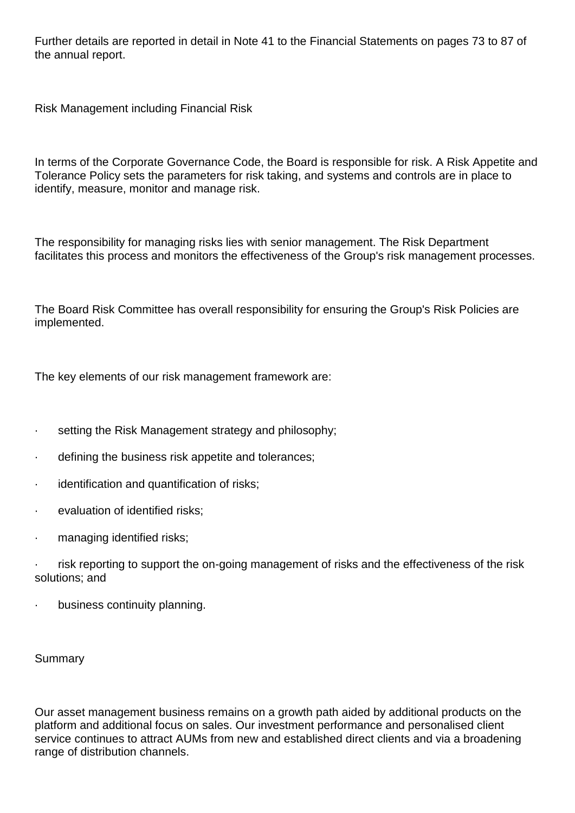Further details are reported in detail in Note 41 to the Financial Statements on pages 73 to 87 of the annual report.

Risk Management including Financial Risk

In terms of the Corporate Governance Code, the Board is responsible for risk. A Risk Appetite and Tolerance Policy sets the parameters for risk taking, and systems and controls are in place to identify, measure, monitor and manage risk.

The responsibility for managing risks lies with senior management. The Risk Department facilitates this process and monitors the effectiveness of the Group's risk management processes.

The Board Risk Committee has overall responsibility for ensuring the Group's Risk Policies are implemented.

The key elements of our risk management framework are:

- setting the Risk Management strategy and philosophy;
- defining the business risk appetite and tolerances;
- · identification and quantification of risks;
- evaluation of identified risks;
- · managing identified risks;
- risk reporting to support the on-going management of risks and the effectiveness of the risk solutions; and
- business continuity planning.

### Summary

Our asset management business remains on a growth path aided by additional products on the platform and additional focus on sales. Our investment performance and personalised client service continues to attract AUMs from new and established direct clients and via a broadening range of distribution channels.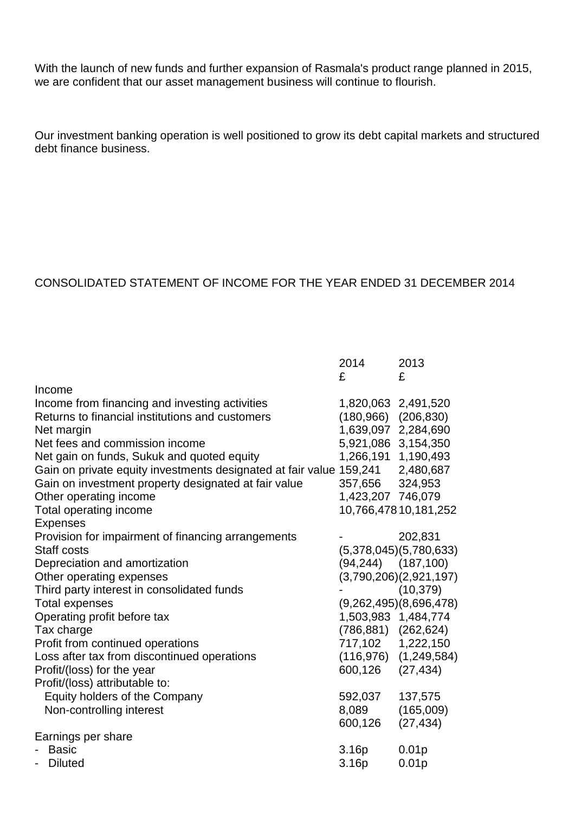With the launch of new funds and further expansion of Rasmala's product range planned in 2015, we are confident that our asset management business will continue to flourish.

Our investment banking operation is well positioned to grow its debt capital markets and structured debt finance business.

### CONSOLIDATED STATEMENT OF INCOME FOR THE YEAR ENDED 31 DECEMBER 2014

|                                                                               | 2014<br>£                | 2013<br>£                    |
|-------------------------------------------------------------------------------|--------------------------|------------------------------|
| Income                                                                        |                          |                              |
| Income from financing and investing activities                                | 1,820,063 2,491,520      |                              |
| Returns to financial institutions and customers                               | $(180,966)$ $(206,830)$  |                              |
| Net margin                                                                    | 1,639,097 2,284,690      |                              |
| Net fees and commission income                                                | 5,921,086 3,154,350      |                              |
| Net gain on funds, Sukuk and quoted equity                                    | 1,266,191 1,190,493      |                              |
| Gain on private equity investments designated at fair value 159,241 2,480,687 |                          |                              |
| Gain on investment property designated at fair value                          | 357,656 324,953          |                              |
| Other operating income                                                        | 1,423,207 746,079        |                              |
| Total operating income                                                        |                          | 10,766,47810,181,252         |
| <b>Expenses</b>                                                               |                          |                              |
| Provision for impairment of financing arrangements                            |                          | 202,831                      |
| Staff costs                                                                   |                          | (5,378,045)(5,780,633)       |
| Depreciation and amortization                                                 | $(94, 244)$ $(187, 100)$ |                              |
| Other operating expenses                                                      |                          | (3,790,206)(2,921,197)       |
| Third party interest in consolidated funds                                    |                          | (10, 379)                    |
| <b>Total expenses</b>                                                         |                          | (9,262,495)(8,696,478)       |
| Operating profit before tax                                                   | 1,503,983 1,484,774      |                              |
| Tax charge                                                                    | (786,881) (262,624)      |                              |
| Profit from continued operations                                              | 717,102 1,222,150        |                              |
| Loss after tax from discontinued operations                                   |                          | $(116, 976)$ $(1, 249, 584)$ |
| Profit/(loss) for the year                                                    | 600,126                  | (27, 434)                    |
| Profit/(loss) attributable to:                                                |                          |                              |
| Equity holders of the Company                                                 | 592,037                  | 137,575                      |
| Non-controlling interest                                                      | 8,089                    | (165,009)                    |
|                                                                               | 600,126                  | (27, 434)                    |
| Earnings per share                                                            |                          |                              |
| <b>Basic</b>                                                                  | 3.16p                    | 0.01 <sub>p</sub>            |
| <b>Diluted</b>                                                                | 3.16p                    | 0.01 <sub>p</sub>            |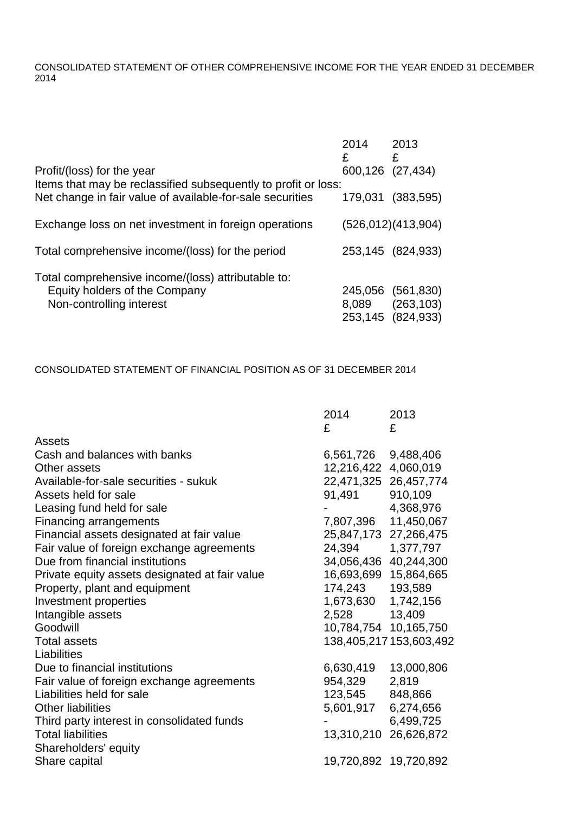CONSOLIDATED STATEMENT OF OTHER COMPREHENSIVE INCOME FOR THE YEAR ENDED 31 DECEMBER 2014

|                                                                                                                             | 2014<br>£        | 2013<br>£                |
|-----------------------------------------------------------------------------------------------------------------------------|------------------|--------------------------|
| Profit/(loss) for the year                                                                                                  | 600,126 (27,434) |                          |
| Items that may be reclassified subsequently to profit or loss:<br>Net change in fair value of available-for-sale securities | 179,031          | (383, 595)               |
|                                                                                                                             |                  |                          |
| Exchange loss on net investment in foreign operations                                                                       |                  | (526,012)(413,904)       |
| Total comprehensive income/(loss) for the period                                                                            |                  | 253,145 (824,933)        |
| Total comprehensive income/(loss) attributable to:                                                                          |                  |                          |
| Equity holders of the Company<br>Non-controlling interest                                                                   | 245,056<br>8,089 | (561, 830)<br>(263, 103) |
|                                                                                                                             |                  | 253,145 (824,933)        |

### CONSOLIDATED STATEMENT OF FINANCIAL POSITION AS OF 31 DECEMBER 2014

|                                                | 2014<br>£             | 2013<br>£              |
|------------------------------------------------|-----------------------|------------------------|
| Assets                                         |                       |                        |
| Cash and balances with banks                   | 6,561,726             | 9,488,406              |
| Other assets                                   | 12,216,422 4,060,019  |                        |
| Available-for-sale securities - sukuk          | 22,471,325 26,457,774 |                        |
| Assets held for sale                           | 91,491                | 910,109                |
| Leasing fund held for sale                     |                       | 4,368,976              |
| <b>Financing arrangements</b>                  | 7,807,396             | 11,450,067             |
| Financial assets designated at fair value      | 25,847,173 27,266,475 |                        |
| Fair value of foreign exchange agreements      | 24,394                | 1,377,797              |
| Due from financial institutions                | 34,056,436 40,244,300 |                        |
| Private equity assets designated at fair value | 16,693,699 15,864,665 |                        |
| Property, plant and equipment                  | 174,243               | 193,589                |
| Investment properties                          | 1,673,630 1,742,156   |                        |
| Intangible assets                              | 2,528 13,409          |                        |
| Goodwill                                       |                       | 10,784,754 10,165,750  |
| <b>Total assets</b>                            |                       | 138,405,217153,603,492 |
| Liabilities                                    |                       |                        |
| Due to financial institutions                  | 6,630,419             | 13,000,806             |
| Fair value of foreign exchange agreements      | 954,329               | 2,819                  |
| Liabilities held for sale                      | 123,545               | 848,866                |
| <b>Other liabilities</b>                       | 5,601,917             | 6,274,656              |
| Third party interest in consolidated funds     |                       | 6,499,725              |
| <b>Total liabilities</b>                       | 13,310,210 26,626,872 |                        |
| Shareholders' equity                           |                       |                        |
| Share capital                                  |                       | 19,720,892 19,720,892  |
|                                                |                       |                        |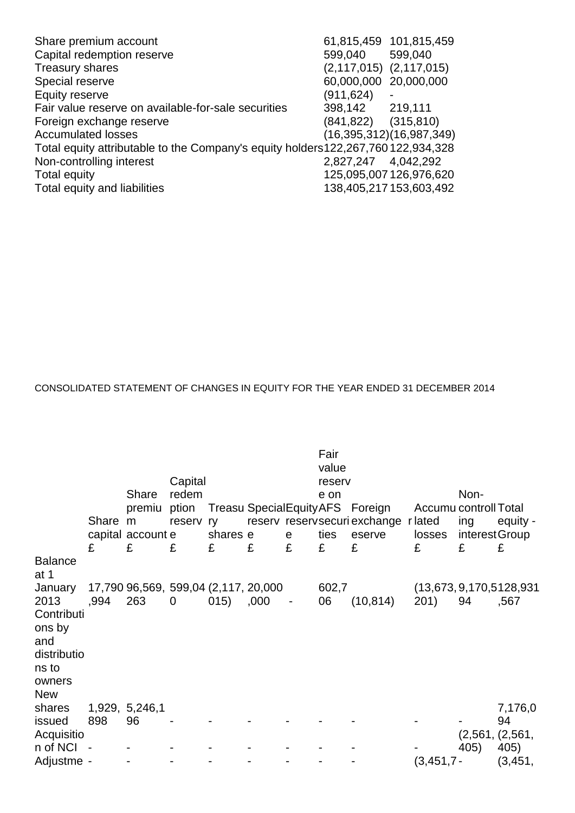| Share premium account                                                           |                             | 61,815,459 101,815,459   |
|---------------------------------------------------------------------------------|-----------------------------|--------------------------|
| Capital redemption reserve                                                      | 599,040                     | 599,040                  |
| <b>Treasury shares</b>                                                          | $(2,117,015)$ $(2,117,015)$ |                          |
| Special reserve                                                                 | 60,000,000                  | 20,000,000               |
| Equity reserve                                                                  | (911,624)                   |                          |
| Fair value reserve on available-for-sale securities                             | 398,142 219,111             |                          |
| Foreign exchange reserve                                                        | $(841,822)$ $(315,810)$     |                          |
| <b>Accumulated losses</b>                                                       |                             | (16,395,312)(16,987,349) |
| Total equity attributable to the Company's equity holders122,267,760122,934,328 |                             |                          |
| Non-controlling interest                                                        | 2,827,247 4,042,292         |                          |
| Total equity                                                                    |                             | 125,095,007 126,976,620  |
| Total equity and liabilities                                                    |                             | 138,405,217 153,603,492  |
|                                                                                 |                             |                          |

CONSOLIDATED STATEMENT OF CHANGES IN EQUITY FOR THE YEAR ENDED 31 DECEMBER 2014

|                                                                                                |       | Share<br>premiu                             | Capital<br>redem |          |      |                          | Fair<br>value<br>reserv<br>e on | ption Treasu SpecialEquity AFS Foreign         | Accumu controll Total | Non-                  |                                      |
|------------------------------------------------------------------------------------------------|-------|---------------------------------------------|------------------|----------|------|--------------------------|---------------------------------|------------------------------------------------|-----------------------|-----------------------|--------------------------------------|
|                                                                                                | Share | m<br>capital account e                      | reserv ry        | shares e |      | e                        | ties                            | reserv reservsecuri exchange r lated<br>eserve | losses                | ing<br>interest Group | equity -                             |
| <b>Balance</b><br>at 1                                                                         | £     | £                                           | £                | £        | £    | £                        | E                               | £                                              | £                     | £                     | £                                    |
| January<br>2013<br>Contributi<br>ons by<br>and<br>distributio<br>ns to<br>owners<br><b>New</b> | ,994  | 17,790 96,569, 599,04 (2,117, 20,000<br>263 | $\mathbf 0$      | (015)    | ,000 | $\overline{\phantom{0}}$ | 602,7<br>06                     | (10, 814)                                      | 201)                  | 94                    | (13, 673, 9, 170, 5128, 931)<br>,567 |
| shares<br>issued<br>Acquisitio                                                                 | 898   | 1,929, 5,246,1<br>96                        |                  |          |      |                          |                                 |                                                |                       |                       | 7,176,0<br>94<br>(2,561, (2,561,     |
| n of NCI<br>Adjustme -                                                                         |       |                                             |                  |          |      |                          |                                 |                                                | $(3,451,7-$           | 405)                  | 405)<br>(3, 451, )                   |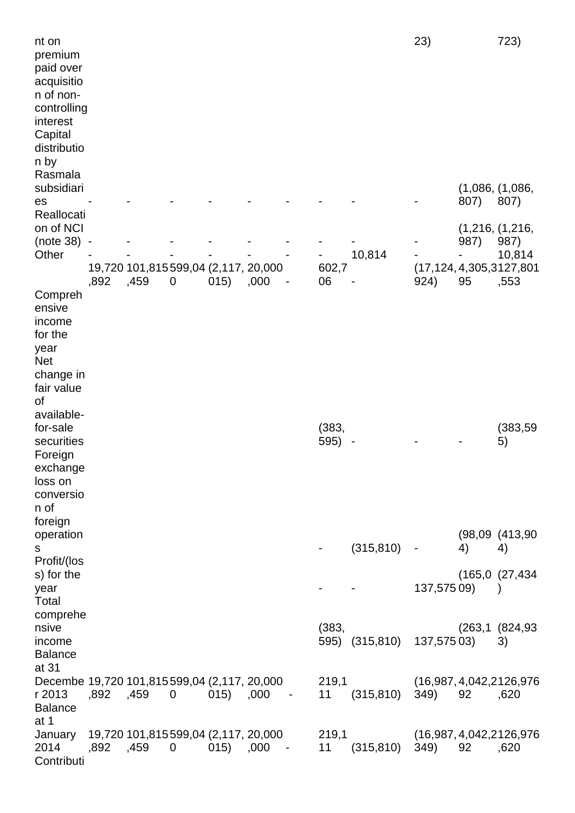| nt on<br>premium<br>paid over<br>acquisitio<br>n of non-<br>controlling<br>interest<br>Capital<br>distributio<br>n by |            |      |                                      |      |      |               |               |                            | 23)                       |      | 723)                                                           |
|-----------------------------------------------------------------------------------------------------------------------|------------|------|--------------------------------------|------|------|---------------|---------------|----------------------------|---------------------------|------|----------------------------------------------------------------|
| Rasmala<br>subsidiari<br>es                                                                                           |            |      |                                      |      |      |               |               |                            |                           | 807) | (1,086, (1,086,<br>807)                                        |
| Reallocati<br>on of NCI<br>(note 38)<br>Other                                                                         |            |      | 19,720 101,815 599,04 (2,117, 20,000 |      |      |               | 602,7         | 10,814                     |                           | 987) | (1,216, (1,216,<br>987)<br>10,814<br>(17,124, 4,305, 3127, 801 |
| Compreh<br>ensive<br>income<br>for the<br>year<br>Net<br>change in<br>fair value                                      | ,892       | ,459 | 0                                    | 015) | ,000 |               | 06            |                            | 924)                      | 95   | ,553                                                           |
| of<br>available-<br>for-sale<br>securities<br>Foreign<br>exchange<br>loss on<br>conversio<br>n of                     |            |      |                                      |      |      |               | (383,<br>595) |                            |                           |      | (383, 59)<br>5)                                                |
| foreign<br>operation<br>S<br>Profit/(los                                                                              |            |      |                                      |      |      |               |               | $(315, 810) -$             |                           | 4)   | (98,09 (413,90<br>4)                                           |
| s) for the<br>year<br>Total                                                                                           |            |      |                                      |      |      |               |               |                            | 137,57509)                |      | (165,0 (27,434<br>$\rightarrow$                                |
| comprehe<br>nsive<br>income<br><b>Balance</b>                                                                         |            |      |                                      |      |      |               | (383,         | 595) (315,810) 137,575 03) |                           |      | (263,1 (824,93<br>3)                                           |
| at 31<br>Decembe 19,720 101,815599,04 (2,117, 20,000<br>r 2013<br><b>Balance</b>                                      | ,892, ,459 |      | 0 015) ,000                          |      |      | $\sim$ $\sim$ | 219,1<br>11   | $(315,810)$ 349)           | (16,987, 4,042, 2126, 976 | 92   | ,620                                                           |
| at 1<br>January 19,720 101,815599,04 (2,117, 20,000<br>2014<br>Contributi                                             | ,892, ,459 |      | $\mathbf 0$                          | 015) | ,000 | $\sim$ $-$    | 11            | 219,1<br>$(315, 810)$ 349) | (16,987, 4,042, 2126, 976 | 92   | ,620                                                           |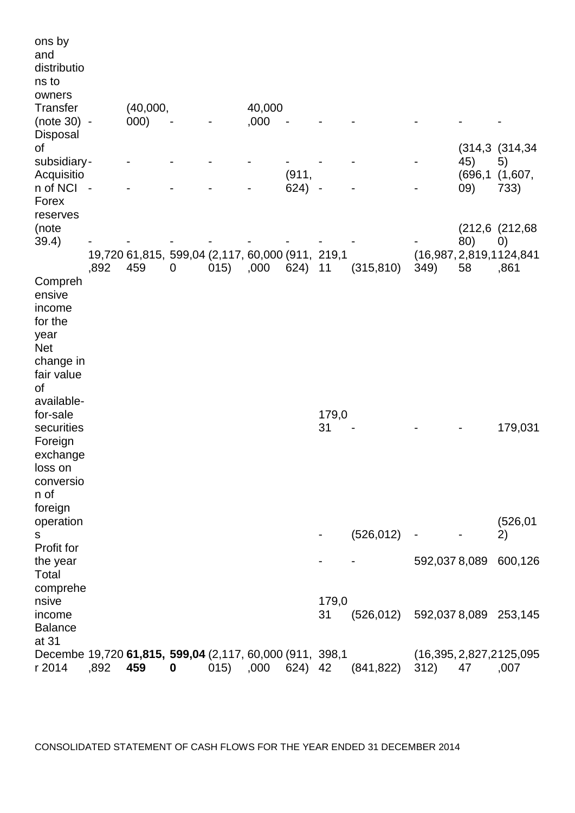| ons by<br>and<br>distributio<br>ns to<br>owners                                                                                                                         |                |                                                         |             |      |        |       |             |                                |                              |           |                                                        |
|-------------------------------------------------------------------------------------------------------------------------------------------------------------------------|----------------|---------------------------------------------------------|-------------|------|--------|-------|-------------|--------------------------------|------------------------------|-----------|--------------------------------------------------------|
| <b>Transfer</b>                                                                                                                                                         |                | (40,000,                                                |             |      | 40,000 |       |             |                                |                              |           |                                                        |
| (note 30) -<br>Disposal                                                                                                                                                 |                | 000)                                                    |             |      | ,000   |       |             |                                |                              |           |                                                        |
| οf<br>subsidiary-                                                                                                                                                       |                |                                                         |             |      |        |       |             |                                |                              | 45)       | (314, 3)(314, 34)<br>5)                                |
| Acquisitio                                                                                                                                                              |                |                                                         |             |      |        | (911, |             |                                |                              | (696, 1)  | (1,607,                                                |
| n of NCI<br>Forex<br>reserves                                                                                                                                           | $\blacksquare$ |                                                         |             |      |        | 624)  |             |                                |                              | (09)      | 733)                                                   |
| (note                                                                                                                                                                   |                |                                                         |             |      |        |       |             |                                |                              |           | (212,6 (212,68)                                        |
| 39.4)                                                                                                                                                                   | ,892           | 19,720 61,815, 599,04 (2,117, 60,000 (911, 219,1<br>459 | $\mathbf 0$ | 015) | ,000   | 624)  | 11          | (315, 810)                     | 349)                         | 80)<br>58 | $\left( 0\right)$<br>(16,987, 2,819, 1124, 841<br>,861 |
| Compreh<br>ensive<br>income<br>for the<br>year<br><b>Net</b><br>change in<br>fair value<br>οf<br>available-<br>for-sale<br>securities<br>Foreign<br>exchange<br>loss on |                |                                                         |             |      |        |       | 179,0<br>31 |                                |                              |           | 179,031                                                |
| conversio<br>n of<br>foreign<br>operation<br>S                                                                                                                          |                |                                                         |             |      |        |       |             | (526, 012)                     | $\qquad \qquad \blacksquare$ |           | (526, 01)<br>2)                                        |
| Profit for                                                                                                                                                              |                |                                                         |             |      |        |       |             |                                |                              |           |                                                        |
| the year<br>Total                                                                                                                                                       |                |                                                         |             |      |        |       |             |                                | 592,0378,089                 |           | 600,126                                                |
| comprehe<br>nsive<br>income<br><b>Balance</b><br>at 31                                                                                                                  |                |                                                         |             |      |        |       | 179,0<br>31 | (526,012) 592,0378,089 253,145 |                              |           |                                                        |
| Decembe 19,720 61,815, 599,04 (2,117, 60,000 (911, 398,1)<br>r 2014                                                                                                     | ,892           | 459                                                     | $\bf{0}$    | 015) | ,000   | 624)  | 42          | (841, 822)                     | 312)                         | 47        | (16,395,2,827,2125,095)<br>,007                        |

CONSOLIDATED STATEMENT OF CASH FLOWS FOR THE YEAR ENDED 31 DECEMBER 2014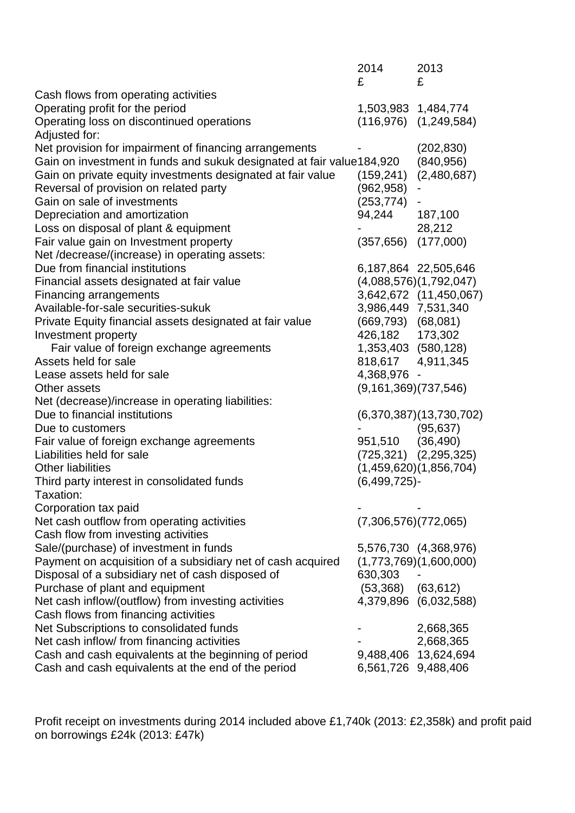|                                                                        | 2014<br>£                 | 2013<br>£                 |
|------------------------------------------------------------------------|---------------------------|---------------------------|
| Cash flows from operating activities                                   |                           |                           |
| Operating profit for the period                                        | 1,503,983 1,484,774       |                           |
| Operating loss on discontinued operations<br>Adjusted for:             |                           | $(116,976)$ $(1,249,584)$ |
| Net provision for impairment of financing arrangements                 |                           | (202, 830)                |
| Gain on investment in funds and sukuk designated at fair value 184,920 |                           | (840, 956)                |
| Gain on private equity investments designated at fair value            | (159, 241)                | (2,480,687)               |
| Reversal of provision on related party                                 | (962,958)                 |                           |
| Gain on sale of investments                                            | (253, 774)                |                           |
| Depreciation and amortization                                          | 94,244                    | 187,100                   |
| Loss on disposal of plant & equipment                                  |                           | 28,212                    |
| Fair value gain on Investment property                                 | $(357, 656)$ $(177, 000)$ |                           |
| Net /decrease/(increase) in operating assets:                          |                           |                           |
| Due from financial institutions                                        |                           | 6,187,864 22,505,646      |
| Financial assets designated at fair value                              |                           | (4,088,576)(1,792,047)    |
| <b>Financing arrangements</b>                                          |                           | 3,642,672 (11,450,067)    |
| Available-for-sale securities-sukuk                                    | 3,986,449 7,531,340       |                           |
| Private Equity financial assets designated at fair value               | $(669, 793)$ $(68, 081)$  |                           |
| Investment property                                                    | 426,182 173,302           |                           |
| Fair value of foreign exchange agreements                              | 1,353,403 (580,128)       |                           |
| Assets held for sale                                                   | 818,617 4,911,345         |                           |
| Lease assets held for sale                                             | 4,368,976 -               |                           |
| Other assets                                                           | (9, 161, 369) (737, 546)  |                           |
| Net (decrease)/increase in operating liabilities:                      |                           |                           |
| Due to financial institutions                                          |                           | (6,370,387)(13,730,702)   |
| Due to customers                                                       |                           | (95, 637)                 |
| Fair value of foreign exchange agreements                              | 951,510                   | (36, 490)                 |
| Liabilities held for sale                                              |                           | $(725,321)$ $(2,295,325)$ |
| <b>Other liabilities</b>                                               |                           | (1,459,620)(1,856,704)    |
| Third party interest in consolidated funds                             | $(6,499,725)$ -           |                           |
| Taxation:                                                              |                           |                           |
| Corporation tax paid                                                   |                           |                           |
| Net cash outflow from operating activities                             | (7,306,576)(772,065)      |                           |
| Cash flow from investing activities                                    |                           |                           |
| Sale/(purchase) of investment in funds                                 |                           | 5,576,730 (4,368,976)     |
| Payment on acquisition of a subsidiary net of cash acquired            |                           | (1,773,769)(1,600,000)    |
| Disposal of a subsidiary net of cash disposed of                       | 630,303                   |                           |
| Purchase of plant and equipment                                        | $(53,368)$ $(63,612)$     |                           |
| Net cash inflow/(outflow) from investing activities                    |                           | 4,379,896 (6,032,588)     |
| Cash flows from financing activities                                   |                           |                           |
| Net Subscriptions to consolidated funds                                |                           | 2,668,365                 |
| Net cash inflow/ from financing activities                             |                           | 2,668,365                 |
| Cash and cash equivalents at the beginning of period                   | 9,488,406                 | 13,624,694                |
| Cash and cash equivalents at the end of the period                     | 6,561,726 9,488,406       |                           |

Profit receipt on investments during 2014 included above £1,740k (2013: £2,358k) and profit paid on borrowings £24k (2013: £47k)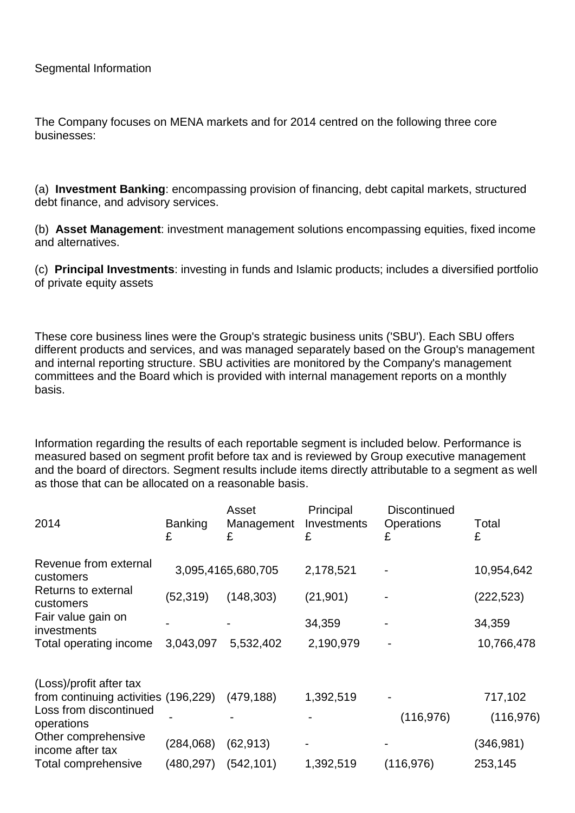The Company focuses on MENA markets and for 2014 centred on the following three core businesses:

(a) **Investment Banking**: encompassing provision of financing, debt capital markets, structured debt finance, and advisory services.

(b) **Asset Management**: investment management solutions encompassing equities, fixed income and alternatives.

(c) **Principal Investments**: investing in funds and Islamic products; includes a diversified portfolio of private equity assets

These core business lines were the Group's strategic business units ('SBU'). Each SBU offers different products and services, and was managed separately based on the Group's management and internal reporting structure. SBU activities are monitored by the Company's management committees and the Board which is provided with internal management reports on a monthly basis.

Information regarding the results of each reportable segment is included below. Performance is measured based on segment profit before tax and is reviewed by Group executive management and the board of directors. Segment results include items directly attributable to a segment as well as those that can be allocated on a reasonable basis.

| 2014                                    | <b>Banking</b><br>£ | Asset<br>Management<br>£ | Principal<br>Investments<br>£ | <b>Discontinued</b><br><b>Operations</b><br>£ | Total<br>£ |
|-----------------------------------------|---------------------|--------------------------|-------------------------------|-----------------------------------------------|------------|
| Revenue from external<br>customers      |                     | 3,095,4165,680,705       | 2,178,521                     |                                               | 10,954,642 |
| Returns to external<br>customers        | (52, 319)           | (148, 303)               | (21, 901)                     |                                               | (222, 523) |
| Fair value gain on<br>investments       |                     |                          | 34,359                        |                                               | 34,359     |
| Total operating income                  | 3,043,097           | 5,532,402                | 2,190,979                     |                                               | 10,766,478 |
| (Loss)/profit after tax                 |                     |                          |                               |                                               |            |
| from continuing activities (196,229)    |                     | (479, 188)               | 1,392,519                     |                                               | 717,102    |
| Loss from discontinued<br>operations    |                     |                          |                               | (116, 976)                                    | (116, 976) |
| Other comprehensive<br>income after tax | (284,068)           | (62, 913)                |                               |                                               | (346, 981) |
| Total comprehensive                     | (480,297)           | (542, 101)               | 1,392,519                     | (116, 976)                                    | 253,145    |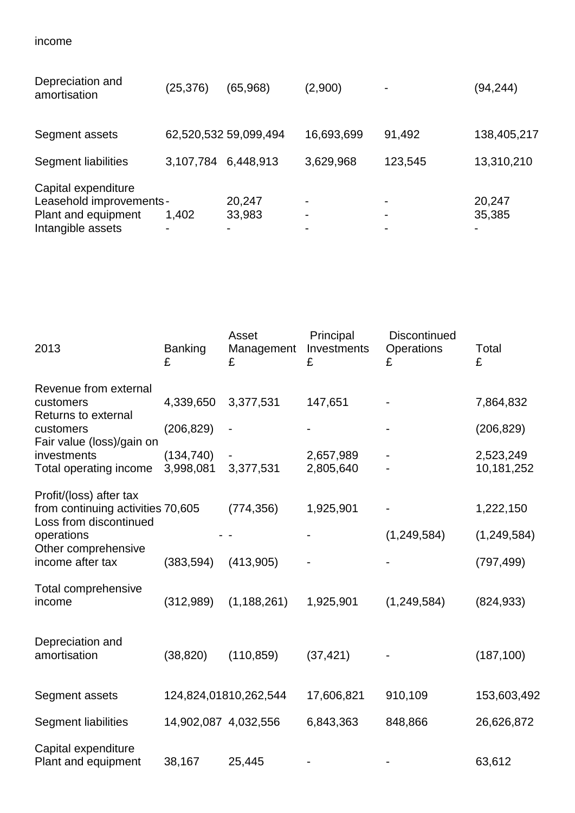| Depreciation and<br>amortisation                                                            | (25,376)            | (65,968)              | (2,900)     |         | (94,244)         |
|---------------------------------------------------------------------------------------------|---------------------|-----------------------|-------------|---------|------------------|
| Segment assets                                                                              |                     | 62,520,532 59,099,494 | 16,693,699  | 91,492  | 138,405,217      |
| Segment liabilities                                                                         | 3,107,784 6,448,913 |                       | 3,629,968   | 123,545 | 13,310,210       |
| Capital expenditure<br>Leasehold improvements -<br>Plant and equipment<br>Intangible assets | 1,402               | 20,247<br>33,983      | ۰<br>۰<br>۰ |         | 20,247<br>35,385 |

| 2013                                                        | <b>Banking</b><br>£  | Asset<br>Management<br>£ | Principal<br>Investments<br>£ | Discontinued<br>Operations<br>£ | Total<br>£    |
|-------------------------------------------------------------|----------------------|--------------------------|-------------------------------|---------------------------------|---------------|
| Revenue from external                                       |                      |                          |                               |                                 |               |
| customers<br>Returns to external                            | 4,339,650            | 3,377,531                | 147,651                       |                                 | 7,864,832     |
| customers<br>Fair value (loss)/gain on                      | (206, 829)           |                          |                               |                                 | (206, 829)    |
| investments                                                 | (134, 740)           |                          | 2,657,989                     |                                 | 2,523,249     |
| Total operating income                                      | 3,998,081            | 3,377,531                | 2,805,640                     |                                 | 10,181,252    |
| Profit/(loss) after tax                                     |                      |                          |                               |                                 |               |
| from continuing activities 70,605<br>Loss from discontinued |                      | (774, 356)               | 1,925,901                     |                                 | 1,222,150     |
| operations                                                  |                      |                          |                               | (1, 249, 584)                   | (1, 249, 584) |
| Other comprehensive<br>income after tax                     | (383, 594)           | (413,905)                |                               |                                 | (797, 499)    |
| Total comprehensive<br>income                               | (312,989)            | (1, 188, 261)            | 1,925,901                     | (1,249,584)                     | (824, 933)    |
| Depreciation and<br>amortisation                            | (38, 820)            | (110, 859)               | (37, 421)                     |                                 | (187, 100)    |
| Segment assets                                              |                      | 124,824,01810,262,544    | 17,606,821                    | 910,109                         | 153,603,492   |
| <b>Segment liabilities</b>                                  | 14,902,087 4,032,556 |                          | 6,843,363                     | 848,866                         | 26,626,872    |
| Capital expenditure<br>Plant and equipment                  | 38,167               | 25,445                   |                               |                                 | 63,612        |